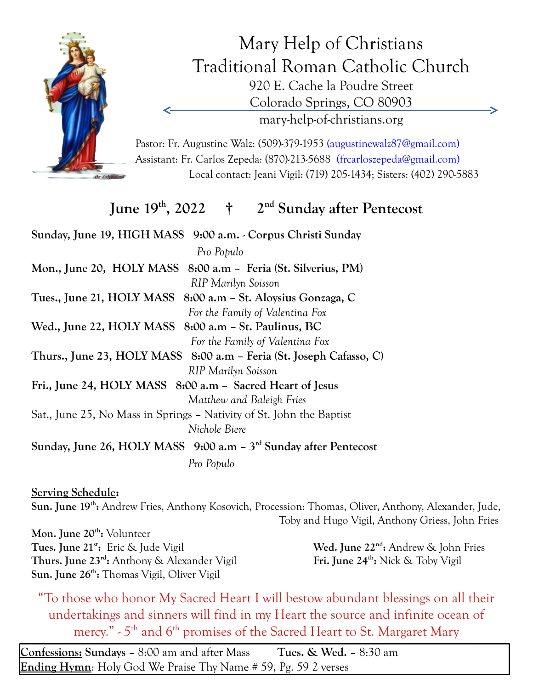

Mary Help of Christians Traditional Roman Catholic Church 920 E. Cache la Poudre Street Colorado Springs, CO 80903 mary-help-of-christians.org

Pastor: Fr. Augustine Walz: (509)-379-1953 (augustinewalz87@gmail.com) Assistant: Fr. Carlos Zepeda: (870)-213-5688 (frcarloszepeda@gmail.com) Local contact: Jeani Vigil: (719) 205-1434; Sisters: (402) 290-5883

## **June 19th , 2022 † 2nd Sunday after Pentecost**

**Sunday, June 19, HIGH MASS 9:00 a.m.** - **Corpus Christi Sunday**  *Pro Populo* **Mon., June 20, HOLY MASS 8:00 a.m – Feria (St. Silverius, PM)** *RIP Marilyn Soisson* **Tues., June 21, HOLY MASS 8:00 a.m – St. Aloysius Gonzaga, C** *For the Family of Valentina Fox* **Wed., June 22, HOLY MASS 8:00 a.m – St. Paulinus, BC**  *For the Family of Valentina Fox* **Thurs., June 23, HOLY MASS 8:00 a.m – Feria (St. Joseph Cafasso, C)** *RIP Marilyn Soisson* **Fri., June 24, HOLY MASS 8:00 a.m – Sacred Heart of Jesus** *Matthew and Baleigh Fries* Sat., June 25, No Mass in Springs – Nativity of St. John the Baptist *Nichole Biere* **Sunday, June 26, HOLY MASS 9:00 a.m – 3rd Sunday after Pentecost** *Pro Populo*

**Serving Schedule: Sun. June 19th :** Andrew Fries, Anthony Kosovich, Procession: Thomas, Oliver, Anthony, Alexander, Jude, Toby and Hugo Vigil, Anthony Griess, John Fries

**Mon. June 20th :** Volunteer **Tues. June 21st :** Eric & Jude Vigil **Wed. June 22nd Thurs. June 23rd :** Anthony & Alexander Vigil **Fri. June 24th Sun. June 26th :** Thomas Vigil, Oliver Vigil

Wed. June 22<sup>nd</sup>: Andrew & John Fries Fri. June 24<sup>th</sup>: Nick & Toby Vigil

"To those who honor My Sacred Heart I will bestow abundant blessings on all their undertakings and sinners will find in my Heart the source and infinite ocean of mercy." - 5<sup>th</sup> and 6<sup>th</sup> promises of the Sacred Heart to St. Margaret Mary

**Confessions: Sundays** – 8:00 am and after Mass **Tues. & Wed.** – 8:30 am **Ending Hymn**: Holy God We Praise Thy Name # 59, Pg. 59 2 verses